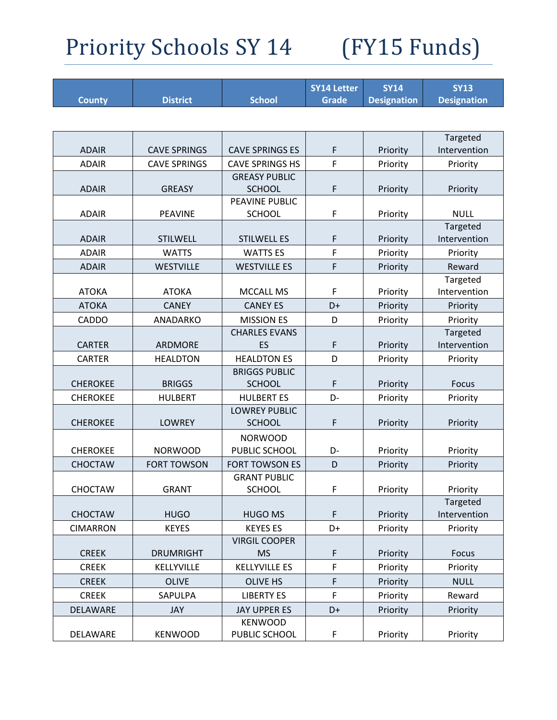| <b>Designation</b><br><b>Designation</b><br><b>District</b><br><b>School</b><br><b>Grade</b><br><b>County</b><br>Targeted<br>F<br><b>ADAIR</b><br>Intervention<br><b>CAVE SPRINGS</b><br><b>CAVE SPRINGS ES</b><br>Priority<br><b>CAVE SPRINGS</b><br><b>CAVE SPRINGS HS</b><br>F<br><b>ADAIR</b><br>Priority<br>Priority<br><b>GREASY PUBLIC</b><br>F<br><b>ADAIR</b><br><b>GREASY</b><br><b>SCHOOL</b><br>Priority<br>Priority<br>PEAVINE PUBLIC<br><b>ADAIR</b><br><b>PEAVINE</b><br><b>SCHOOL</b><br>F<br><b>NULL</b><br>Priority<br>Targeted<br>F<br>Intervention<br><b>ADAIR</b><br><b>STILWELL</b><br><b>STILWELL ES</b><br>Priority<br><b>WATTS ES</b><br>F<br><b>ADAIR</b><br><b>WATTS</b><br>Priority<br>Priority<br>F<br><b>WESTVILLE</b><br><b>WESTVILLE ES</b><br>Reward<br><b>ADAIR</b><br>Priority<br>Targeted<br><b>ATOKA</b><br><b>ATOKA</b><br><b>MCCALL MS</b><br>F<br>Intervention<br>Priority<br><b>ATOKA</b><br><b>CANEY</b><br><b>CANEY ES</b><br>D+<br>Priority<br>Priority<br><b>MISSION ES</b><br><b>CADDO</b><br>ANADARKO<br>D<br>Priority<br>Priority<br><b>CHARLES EVANS</b><br>Targeted<br><b>CARTER</b><br>ARDMORE<br>ES<br>F<br>Intervention<br>Priority |
|------------------------------------------------------------------------------------------------------------------------------------------------------------------------------------------------------------------------------------------------------------------------------------------------------------------------------------------------------------------------------------------------------------------------------------------------------------------------------------------------------------------------------------------------------------------------------------------------------------------------------------------------------------------------------------------------------------------------------------------------------------------------------------------------------------------------------------------------------------------------------------------------------------------------------------------------------------------------------------------------------------------------------------------------------------------------------------------------------------------------------------------------------------------------------------------|
|                                                                                                                                                                                                                                                                                                                                                                                                                                                                                                                                                                                                                                                                                                                                                                                                                                                                                                                                                                                                                                                                                                                                                                                          |
|                                                                                                                                                                                                                                                                                                                                                                                                                                                                                                                                                                                                                                                                                                                                                                                                                                                                                                                                                                                                                                                                                                                                                                                          |
|                                                                                                                                                                                                                                                                                                                                                                                                                                                                                                                                                                                                                                                                                                                                                                                                                                                                                                                                                                                                                                                                                                                                                                                          |
|                                                                                                                                                                                                                                                                                                                                                                                                                                                                                                                                                                                                                                                                                                                                                                                                                                                                                                                                                                                                                                                                                                                                                                                          |
|                                                                                                                                                                                                                                                                                                                                                                                                                                                                                                                                                                                                                                                                                                                                                                                                                                                                                                                                                                                                                                                                                                                                                                                          |
|                                                                                                                                                                                                                                                                                                                                                                                                                                                                                                                                                                                                                                                                                                                                                                                                                                                                                                                                                                                                                                                                                                                                                                                          |
|                                                                                                                                                                                                                                                                                                                                                                                                                                                                                                                                                                                                                                                                                                                                                                                                                                                                                                                                                                                                                                                                                                                                                                                          |
|                                                                                                                                                                                                                                                                                                                                                                                                                                                                                                                                                                                                                                                                                                                                                                                                                                                                                                                                                                                                                                                                                                                                                                                          |
|                                                                                                                                                                                                                                                                                                                                                                                                                                                                                                                                                                                                                                                                                                                                                                                                                                                                                                                                                                                                                                                                                                                                                                                          |
|                                                                                                                                                                                                                                                                                                                                                                                                                                                                                                                                                                                                                                                                                                                                                                                                                                                                                                                                                                                                                                                                                                                                                                                          |
|                                                                                                                                                                                                                                                                                                                                                                                                                                                                                                                                                                                                                                                                                                                                                                                                                                                                                                                                                                                                                                                                                                                                                                                          |
|                                                                                                                                                                                                                                                                                                                                                                                                                                                                                                                                                                                                                                                                                                                                                                                                                                                                                                                                                                                                                                                                                                                                                                                          |
|                                                                                                                                                                                                                                                                                                                                                                                                                                                                                                                                                                                                                                                                                                                                                                                                                                                                                                                                                                                                                                                                                                                                                                                          |
|                                                                                                                                                                                                                                                                                                                                                                                                                                                                                                                                                                                                                                                                                                                                                                                                                                                                                                                                                                                                                                                                                                                                                                                          |
|                                                                                                                                                                                                                                                                                                                                                                                                                                                                                                                                                                                                                                                                                                                                                                                                                                                                                                                                                                                                                                                                                                                                                                                          |
|                                                                                                                                                                                                                                                                                                                                                                                                                                                                                                                                                                                                                                                                                                                                                                                                                                                                                                                                                                                                                                                                                                                                                                                          |
|                                                                                                                                                                                                                                                                                                                                                                                                                                                                                                                                                                                                                                                                                                                                                                                                                                                                                                                                                                                                                                                                                                                                                                                          |
|                                                                                                                                                                                                                                                                                                                                                                                                                                                                                                                                                                                                                                                                                                                                                                                                                                                                                                                                                                                                                                                                                                                                                                                          |
|                                                                                                                                                                                                                                                                                                                                                                                                                                                                                                                                                                                                                                                                                                                                                                                                                                                                                                                                                                                                                                                                                                                                                                                          |
| <b>HEALDTON ES</b><br>D<br><b>CARTER</b><br><b>HEALDTON</b><br>Priority<br>Priority                                                                                                                                                                                                                                                                                                                                                                                                                                                                                                                                                                                                                                                                                                                                                                                                                                                                                                                                                                                                                                                                                                      |
| <b>BRIGGS PUBLIC</b>                                                                                                                                                                                                                                                                                                                                                                                                                                                                                                                                                                                                                                                                                                                                                                                                                                                                                                                                                                                                                                                                                                                                                                     |
| <b>CHEROKEE</b><br><b>BRIGGS</b><br><b>SCHOOL</b><br>F<br>Priority<br>Focus                                                                                                                                                                                                                                                                                                                                                                                                                                                                                                                                                                                                                                                                                                                                                                                                                                                                                                                                                                                                                                                                                                              |
| <b>CHEROKEE</b><br><b>HULBERT ES</b><br>D-<br><b>HULBERT</b><br>Priority<br>Priority                                                                                                                                                                                                                                                                                                                                                                                                                                                                                                                                                                                                                                                                                                                                                                                                                                                                                                                                                                                                                                                                                                     |
| <b>LOWREY PUBLIC</b><br>F                                                                                                                                                                                                                                                                                                                                                                                                                                                                                                                                                                                                                                                                                                                                                                                                                                                                                                                                                                                                                                                                                                                                                                |
| <b>SCHOOL</b><br><b>CHEROKEE</b><br><b>LOWREY</b><br>Priority<br>Priority                                                                                                                                                                                                                                                                                                                                                                                                                                                                                                                                                                                                                                                                                                                                                                                                                                                                                                                                                                                                                                                                                                                |
| <b>NORWOOD</b>                                                                                                                                                                                                                                                                                                                                                                                                                                                                                                                                                                                                                                                                                                                                                                                                                                                                                                                                                                                                                                                                                                                                                                           |
| <b>CHEROKEE</b><br><b>NORWOOD</b><br>PUBLIC SCHOOL<br>D-<br>Priority<br>Priority                                                                                                                                                                                                                                                                                                                                                                                                                                                                                                                                                                                                                                                                                                                                                                                                                                                                                                                                                                                                                                                                                                         |
| <b>CHOCTAW</b><br><b>FORT TOWSON ES</b><br><b>FORT TOWSON</b><br>D<br>Priority<br>Priority                                                                                                                                                                                                                                                                                                                                                                                                                                                                                                                                                                                                                                                                                                                                                                                                                                                                                                                                                                                                                                                                                               |
| <b>GRANT PUBLIC</b>                                                                                                                                                                                                                                                                                                                                                                                                                                                                                                                                                                                                                                                                                                                                                                                                                                                                                                                                                                                                                                                                                                                                                                      |
| SCHOOL<br><b>CHOCTAW</b><br><b>GRANT</b><br>F<br>Priority<br>Priority                                                                                                                                                                                                                                                                                                                                                                                                                                                                                                                                                                                                                                                                                                                                                                                                                                                                                                                                                                                                                                                                                                                    |
| Targeted<br><b>CHOCTAW</b><br><b>HUGO MS</b><br>Intervention<br><b>HUGO</b><br>F<br>Priority                                                                                                                                                                                                                                                                                                                                                                                                                                                                                                                                                                                                                                                                                                                                                                                                                                                                                                                                                                                                                                                                                             |
| <b>KEYES ES</b><br>D+<br><b>CIMARRON</b><br><b>KEYES</b>                                                                                                                                                                                                                                                                                                                                                                                                                                                                                                                                                                                                                                                                                                                                                                                                                                                                                                                                                                                                                                                                                                                                 |
| Priority<br>Priority<br><b>VIRGIL COOPER</b>                                                                                                                                                                                                                                                                                                                                                                                                                                                                                                                                                                                                                                                                                                                                                                                                                                                                                                                                                                                                                                                                                                                                             |
| <b>CREEK</b><br><b>DRUMRIGHT</b><br><b>MS</b><br>F<br>Priority<br>Focus                                                                                                                                                                                                                                                                                                                                                                                                                                                                                                                                                                                                                                                                                                                                                                                                                                                                                                                                                                                                                                                                                                                  |
| F<br><b>CREEK</b><br><b>KELLYVILLE</b><br><b>KELLYVILLE ES</b><br>Priority<br>Priority                                                                                                                                                                                                                                                                                                                                                                                                                                                                                                                                                                                                                                                                                                                                                                                                                                                                                                                                                                                                                                                                                                   |
| $\mathsf F$<br><b>OLIVE</b><br><b>OLIVE HS</b><br><b>NULL</b><br><b>CREEK</b><br>Priority                                                                                                                                                                                                                                                                                                                                                                                                                                                                                                                                                                                                                                                                                                                                                                                                                                                                                                                                                                                                                                                                                                |
| F                                                                                                                                                                                                                                                                                                                                                                                                                                                                                                                                                                                                                                                                                                                                                                                                                                                                                                                                                                                                                                                                                                                                                                                        |
| <b>CREEK</b><br>SAPULPA<br><b>LIBERTY ES</b><br>Priority<br>Reward                                                                                                                                                                                                                                                                                                                                                                                                                                                                                                                                                                                                                                                                                                                                                                                                                                                                                                                                                                                                                                                                                                                       |
| DELAWARE<br>JAY<br><b>JAY UPPER ES</b><br>D+<br>Priority<br>Priority                                                                                                                                                                                                                                                                                                                                                                                                                                                                                                                                                                                                                                                                                                                                                                                                                                                                                                                                                                                                                                                                                                                     |
| <b>KENWOOD</b><br><b>KENWOOD</b><br>PUBLIC SCHOOL<br>F<br>Priority<br>Priority<br>DELAWARE                                                                                                                                                                                                                                                                                                                                                                                                                                                                                                                                                                                                                                                                                                                                                                                                                                                                                                                                                                                                                                                                                               |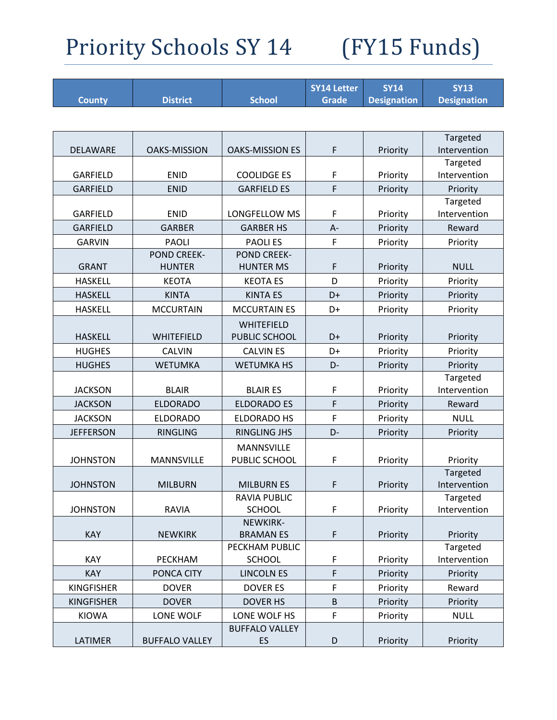|                   |                                    |                                      | <b>SY14 Letter</b> | <b>SY14</b>        | <b>SY13</b>              |
|-------------------|------------------------------------|--------------------------------------|--------------------|--------------------|--------------------------|
| <b>County</b>     | <b>District</b>                    | <b>School</b>                        | <b>Grade</b>       | <b>Designation</b> | <b>Designation</b>       |
|                   |                                    |                                      |                    |                    |                          |
|                   |                                    |                                      |                    |                    | Targeted                 |
| DELAWARE          | <b>OAKS-MISSION</b>                | <b>OAKS-MISSION ES</b>               | $\mathsf F$        | Priority           | Intervention             |
|                   |                                    |                                      |                    |                    | Targeted                 |
| <b>GARFIELD</b>   | <b>ENID</b>                        | <b>COOLIDGE ES</b>                   | F                  | Priority           | Intervention             |
| <b>GARFIELD</b>   | <b>ENID</b>                        | <b>GARFIELD ES</b>                   | F                  | Priority           | Priority                 |
| <b>GARFIELD</b>   | <b>ENID</b>                        | LONGFELLOW MS                        |                    |                    | Targeted<br>Intervention |
|                   |                                    |                                      | F                  | Priority           |                          |
| <b>GARFIELD</b>   | <b>GARBER</b>                      | <b>GARBER HS</b>                     | $A -$              | Priority           | Reward                   |
| <b>GARVIN</b>     | <b>PAOLI</b><br><b>POND CREEK-</b> | <b>PAOLIES</b><br><b>POND CREEK-</b> | F                  | Priority           | Priority                 |
| <b>GRANT</b>      | <b>HUNTER</b>                      | <b>HUNTER MS</b>                     | F                  | Priority           | <b>NULL</b>              |
| <b>HASKELL</b>    | <b>KEOTA</b>                       | <b>KEOTA ES</b>                      | D                  | Priority           | Priority                 |
| <b>HASKELL</b>    | <b>KINTA</b>                       | <b>KINTA ES</b>                      | D+                 | Priority           | Priority                 |
| <b>HASKELL</b>    | <b>MCCURTAIN</b>                   | <b>MCCURTAIN ES</b>                  | D+                 |                    |                          |
|                   |                                    |                                      |                    | Priority           | Priority                 |
| <b>HASKELL</b>    | WHITEFIELD                         | WHITEFIELD<br>PUBLIC SCHOOL          | D+                 | Priority           | Priority                 |
| <b>HUGHES</b>     | <b>CALVIN</b>                      | <b>CALVIN ES</b>                     | D+                 | Priority           | Priority                 |
| <b>HUGHES</b>     | <b>WETUMKA</b>                     | <b>WETUMKA HS</b>                    | D-                 | Priority           | Priority                 |
|                   |                                    |                                      |                    |                    | Targeted                 |
| <b>JACKSON</b>    | <b>BLAIR</b>                       | <b>BLAIR ES</b>                      | F                  | Priority           | Intervention             |
| <b>JACKSON</b>    | <b>ELDORADO</b>                    | <b>ELDORADO ES</b>                   | F                  | Priority           | Reward                   |
| <b>JACKSON</b>    | <b>ELDORADO</b>                    | <b>ELDORADO HS</b>                   | F                  | Priority           | <b>NULL</b>              |
| <b>JEFFERSON</b>  | <b>RINGLING</b>                    | <b>RINGLING JHS</b>                  | D-                 | Priority           | Priority                 |
|                   |                                    | <b>MANNSVILLE</b>                    |                    |                    |                          |
| <b>JOHNSTON</b>   | MANNSVILLE                         | PUBLIC SCHOOL                        | F                  | Priority           | Priority                 |
|                   |                                    |                                      |                    |                    | Targeted                 |
| <b>JOHNSTON</b>   | <b>MILBURN</b>                     | <b>MILBURN ES</b>                    | F                  | Priority           | Intervention             |
|                   |                                    | <b>RAVIA PUBLIC</b>                  |                    |                    | Targeted                 |
| <b>JOHNSTON</b>   | <b>RAVIA</b>                       | <b>SCHOOL</b>                        | F                  | Priority           | Intervention             |
| KAY               | <b>NEWKIRK</b>                     | NEWKIRK-<br><b>BRAMANES</b>          | F                  | Priority           | Priority                 |
|                   |                                    | PECKHAM PUBLIC                       |                    |                    | Targeted                 |
| KAY               | PECKHAM                            | <b>SCHOOL</b>                        | F                  | Priority           | Intervention             |
| <b>KAY</b>        | PONCA CITY                         | <b>LINCOLN ES</b>                    | F                  | Priority           | Priority                 |
| <b>KINGFISHER</b> | <b>DOVER</b>                       | <b>DOVER ES</b>                      | F                  | Priority           | Reward                   |
| <b>KINGFISHER</b> | <b>DOVER</b>                       | <b>DOVER HS</b>                      | $\sf B$            | Priority           | Priority                 |
| <b>KIOWA</b>      | LONE WOLF                          | LONE WOLF HS                         | F                  | Priority           | <b>NULL</b>              |
|                   |                                    | <b>BUFFALO VALLEY</b>                |                    |                    |                          |
| LATIMER           | <b>BUFFALO VALLEY</b>              | ES                                   | D                  | Priority           | Priority                 |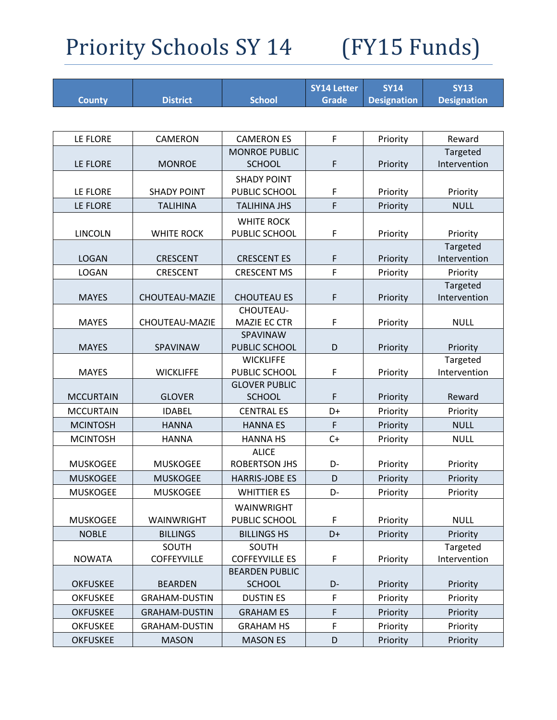| <b>County</b>    | <b>District</b>       | <b>School</b>                        | <b>SY14 Letter</b><br><b>Grade</b> | <b>SY14</b><br><b>Designation</b> | <b>SY13</b><br><b>Designation</b> |
|------------------|-----------------------|--------------------------------------|------------------------------------|-----------------------------------|-----------------------------------|
|                  |                       |                                      |                                    |                                   |                                   |
| LE FLORE         | <b>CAMERON</b>        | <b>CAMERON ES</b>                    | F                                  | Priority                          | Reward                            |
|                  |                       | <b>MONROE PUBLIC</b>                 |                                    |                                   | Targeted                          |
| LE FLORE         | <b>MONROE</b>         | <b>SCHOOL</b>                        | $\mathsf F$                        | Priority                          | Intervention                      |
|                  |                       | <b>SHADY POINT</b>                   |                                    |                                   |                                   |
| LE FLORE         | <b>SHADY POINT</b>    | PUBLIC SCHOOL                        | F                                  | Priority                          | Priority                          |
| LE FLORE         | <b>TALIHINA</b>       | <b>TALIHINA JHS</b>                  | F                                  | Priority                          | <b>NULL</b>                       |
|                  |                       | <b>WHITE ROCK</b>                    |                                    |                                   |                                   |
| <b>LINCOLN</b>   | <b>WHITE ROCK</b>     | PUBLIC SCHOOL                        | F                                  | Priority                          | Priority                          |
|                  |                       |                                      |                                    |                                   | Targeted                          |
| <b>LOGAN</b>     | <b>CRESCENT</b>       | <b>CRESCENT ES</b>                   | F                                  | Priority                          | Intervention                      |
| <b>LOGAN</b>     | <b>CRESCENT</b>       | <b>CRESCENT MS</b>                   | F                                  | Priority                          | Priority                          |
| <b>MAYES</b>     | <b>CHOUTEAU-MAZIE</b> | <b>CHOUTEAU ES</b>                   | $\mathsf F$                        | Priority                          | Targeted<br>Intervention          |
|                  |                       | CHOUTEAU-                            |                                    |                                   |                                   |
| <b>MAYES</b>     | <b>CHOUTEAU-MAZIE</b> | MAZIE EC CTR                         | F                                  | Priority                          | <b>NULL</b>                       |
|                  |                       | SPAVINAW                             |                                    |                                   |                                   |
| <b>MAYES</b>     | SPAVINAW              | PUBLIC SCHOOL                        | D                                  | Priority                          | Priority                          |
|                  |                       | <b>WICKLIFFE</b>                     |                                    |                                   | Targeted                          |
| <b>MAYES</b>     | <b>WICKLIFFE</b>      | PUBLIC SCHOOL                        | F                                  | Priority                          | Intervention                      |
|                  |                       | <b>GLOVER PUBLIC</b>                 |                                    |                                   |                                   |
| <b>MCCURTAIN</b> | <b>GLOVER</b>         | <b>SCHOOL</b>                        | F                                  | Priority                          | Reward                            |
| <b>MCCURTAIN</b> | <b>IDABEL</b>         | <b>CENTRAL ES</b>                    | D+                                 | Priority                          | Priority                          |
| <b>MCINTOSH</b>  | <b>HANNA</b>          | <b>HANNA ES</b>                      | F                                  | Priority                          | <b>NULL</b>                       |
| <b>MCINTOSH</b>  | <b>HANNA</b>          | <b>HANNA HS</b>                      | $C+$                               | Priority                          | <b>NULL</b>                       |
| <b>MUSKOGEE</b>  | <b>MUSKOGEE</b>       | <b>ALICE</b><br><b>ROBERTSON JHS</b> | D-                                 | Priority                          | Priority                          |
| <b>MUSKOGEE</b>  | <b>MUSKOGEE</b>       | <b>HARRIS-JOBE ES</b>                | D                                  | Priority                          | Priority                          |
| <b>MUSKOGEE</b>  | <b>MUSKOGEE</b>       | <b>WHITTIER ES</b>                   | D-                                 | Priority                          | Priority                          |
|                  |                       | WAINWRIGHT                           |                                    |                                   |                                   |
| <b>MUSKOGEE</b>  | WAINWRIGHT            | PUBLIC SCHOOL                        | F                                  | Priority                          | <b>NULL</b>                       |
| <b>NOBLE</b>     | <b>BILLINGS</b>       | <b>BILLINGS HS</b>                   | D+                                 | Priority                          | Priority                          |
|                  | SOUTH                 | SOUTH                                |                                    |                                   | Targeted                          |
| <b>NOWATA</b>    | <b>COFFEYVILLE</b>    | <b>COFFEYVILLE ES</b>                | F                                  | Priority                          | Intervention                      |
|                  |                       | <b>BEARDEN PUBLIC</b>                |                                    |                                   |                                   |
| <b>OKFUSKEE</b>  | <b>BEARDEN</b>        | <b>SCHOOL</b>                        | D-                                 | Priority                          | Priority                          |
| <b>OKFUSKEE</b>  | <b>GRAHAM-DUSTIN</b>  | <b>DUSTIN ES</b>                     | F                                  | Priority                          | Priority                          |
| <b>OKFUSKEE</b>  | <b>GRAHAM-DUSTIN</b>  | <b>GRAHAM ES</b>                     | $\mathsf F$                        | Priority                          | Priority                          |
| <b>OKFUSKEE</b>  | <b>GRAHAM-DUSTIN</b>  | <b>GRAHAM HS</b>                     | F                                  | Priority                          | Priority                          |
| <b>OKFUSKEE</b>  | <b>MASON</b>          | <b>MASON ES</b>                      | D                                  | Priority                          | Priority                          |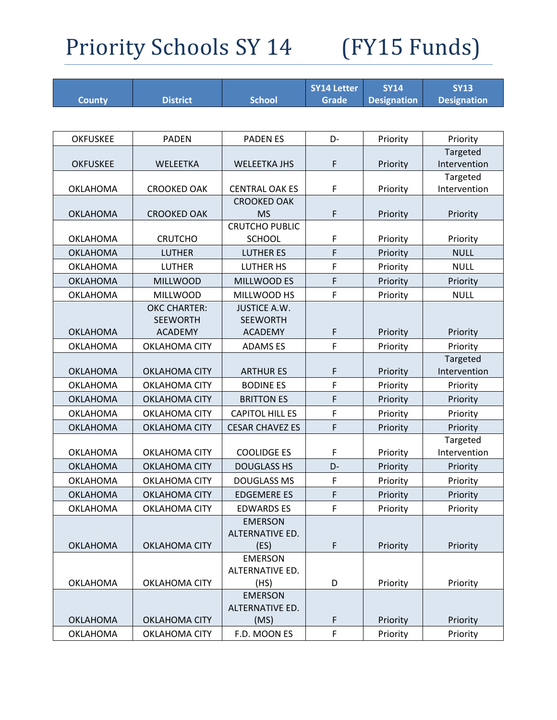|                 |                                        |                                        | <b>SY14 Letter</b> | <b>SY14</b>        | <b>SY13</b>             |
|-----------------|----------------------------------------|----------------------------------------|--------------------|--------------------|-------------------------|
| <b>County</b>   | <b>District</b>                        | <b>School</b>                          | <b>Grade</b>       | <b>Designation</b> | <b>Designation</b>      |
|                 |                                        |                                        |                    |                    |                         |
| <b>OKFUSKEE</b> | <b>PADEN</b>                           | <b>PADEN ES</b>                        | D-                 | Priority           | Priority                |
|                 |                                        |                                        |                    |                    | Targeted                |
| <b>OKFUSKEE</b> | WELEETKA                               | <b>WELEETKA JHS</b>                    | F                  | Priority           | Intervention            |
|                 |                                        |                                        |                    |                    | Targeted                |
| <b>OKLAHOMA</b> | <b>CROOKED OAK</b>                     | <b>CENTRAL OAK ES</b>                  | F                  | Priority           | Intervention            |
|                 |                                        | <b>CROOKED OAK</b>                     |                    |                    |                         |
| <b>OKLAHOMA</b> | <b>CROOKED OAK</b>                     | <b>MS</b>                              | F                  | Priority           | Priority                |
| <b>OKLAHOMA</b> | <b>CRUTCHO</b>                         | <b>CRUTCHO PUBLIC</b><br><b>SCHOOL</b> | F                  | Priority           |                         |
| <b>OKLAHOMA</b> | <b>LUTHER</b>                          | <b>LUTHER ES</b>                       | F                  |                    | Priority<br><b>NULL</b> |
|                 | <b>LUTHER</b>                          |                                        |                    | Priority           |                         |
| <b>OKLAHOMA</b> |                                        | <b>LUTHER HS</b>                       | F                  | Priority           | <b>NULL</b>             |
| <b>OKLAHOMA</b> | <b>MILLWOOD</b>                        | MILLWOOD ES                            | F                  | Priority           | Priority                |
| <b>OKLAHOMA</b> | <b>MILLWOOD</b>                        | MILLWOOD HS                            | $\mathsf F$        | Priority           | <b>NULL</b>             |
|                 | <b>OKC CHARTER:</b><br><b>SEEWORTH</b> | <b>JUSTICE A.W.</b><br><b>SEEWORTH</b> |                    |                    |                         |
| <b>OKLAHOMA</b> | <b>ACADEMY</b>                         | <b>ACADEMY</b>                         | F                  | Priority           | Priority                |
| <b>OKLAHOMA</b> | <b>OKLAHOMA CITY</b>                   | <b>ADAMSES</b>                         | F                  | Priority           | Priority                |
|                 |                                        |                                        |                    |                    | Targeted                |
| <b>OKLAHOMA</b> | <b>OKLAHOMA CITY</b>                   | <b>ARTHUR ES</b>                       | F                  | Priority           | Intervention            |
| <b>OKLAHOMA</b> | <b>OKLAHOMA CITY</b>                   | <b>BODINE ES</b>                       | F                  | Priority           | Priority                |
| <b>OKLAHOMA</b> | <b>OKLAHOMA CITY</b>                   | <b>BRITTON ES</b>                      | F                  | Priority           | Priority                |
| <b>OKLAHOMA</b> | <b>OKLAHOMA CITY</b>                   | <b>CAPITOL HILL ES</b>                 | F                  | Priority           | Priority                |
| <b>OKLAHOMA</b> | <b>OKLAHOMA CITY</b>                   | <b>CESAR CHAVEZ ES</b>                 | F                  | Priority           | Priority                |
|                 |                                        |                                        |                    |                    | Targeted                |
| <b>OKLAHOMA</b> | <b>OKLAHOMA CITY</b>                   | <b>COOLIDGE ES</b>                     | F                  | Priority           | Intervention            |
| <b>OKLAHOMA</b> | <b>OKLAHOMA CITY</b>                   | <b>DOUGLASS HS</b>                     | D-                 | Priority           | Priority                |
| <b>OKLAHOMA</b> | <b>OKLAHOMA CITY</b>                   | <b>DOUGLASS MS</b>                     | F                  | Priority           | Priority                |
| <b>OKLAHOMA</b> | <b>OKLAHOMA CITY</b>                   | <b>EDGEMERE ES</b>                     | F                  | Priority           | Priority                |
| <b>OKLAHOMA</b> | <b>OKLAHOMA CITY</b>                   | <b>EDWARDS ES</b>                      | F                  | Priority           | Priority                |
|                 |                                        | <b>EMERSON</b>                         |                    |                    |                         |
|                 |                                        | ALTERNATIVE ED.                        |                    |                    |                         |
| <b>OKLAHOMA</b> | <b>OKLAHOMA CITY</b>                   | (ES)                                   | F                  | Priority           | Priority                |
|                 |                                        | <b>EMERSON</b>                         |                    |                    |                         |
|                 |                                        | ALTERNATIVE ED.                        |                    |                    |                         |
| <b>OKLAHOMA</b> | <b>OKLAHOMA CITY</b>                   | (HS)                                   | D                  | Priority           | Priority                |
|                 |                                        | <b>EMERSON</b>                         |                    |                    |                         |
|                 |                                        | ALTERNATIVE ED.                        |                    |                    |                         |
| <b>OKLAHOMA</b> | <b>OKLAHOMA CITY</b>                   | (MS)                                   | F                  | Priority           | Priority                |
| <b>OKLAHOMA</b> | OKLAHOMA CITY                          | F.D. MOON ES                           | F                  | Priority           | Priority                |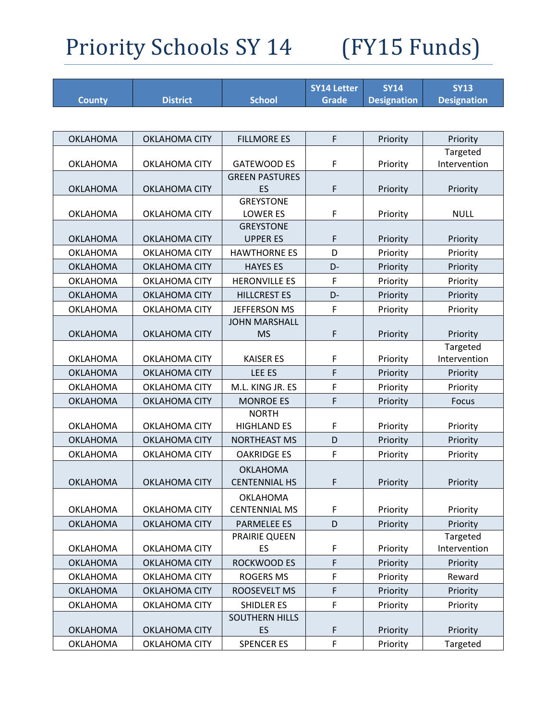| <b>County</b>   | <b>District</b>      | <b>School</b>                           | <b>SY14 Letter</b><br><b>Grade</b> | <b>SY14</b><br><b>Designation</b> | <b>SY13</b><br><b>Designation</b> |
|-----------------|----------------------|-----------------------------------------|------------------------------------|-----------------------------------|-----------------------------------|
|                 |                      |                                         |                                    |                                   |                                   |
| <b>OKLAHOMA</b> | <b>OKLAHOMA CITY</b> | <b>FILLMORE ES</b>                      | F                                  | Priority                          | Priority                          |
| OKLAHOMA        | <b>OKLAHOMA CITY</b> | <b>GATEWOOD ES</b>                      | F                                  | Priority                          | Targeted<br>Intervention          |
| <b>OKLAHOMA</b> | <b>OKLAHOMA CITY</b> | <b>GREEN PASTURES</b><br>ES             | F                                  | Priority                          | Priority                          |
| <b>OKLAHOMA</b> | <b>OKLAHOMA CITY</b> | <b>GREYSTONE</b><br><b>LOWER ES</b>     | F                                  | Priority                          | <b>NULL</b>                       |
| OKLAHOMA        | <b>OKLAHOMA CITY</b> | <b>GREYSTONE</b><br><b>UPPER ES</b>     | F                                  | Priority                          | Priority                          |
| <b>OKLAHOMA</b> | <b>OKLAHOMA CITY</b> | <b>HAWTHORNE ES</b>                     | D                                  | Priority                          | Priority                          |
| <b>OKLAHOMA</b> | <b>OKLAHOMA CITY</b> | <b>HAYES ES</b>                         | D-                                 | Priority                          | Priority                          |
| <b>OKLAHOMA</b> | <b>OKLAHOMA CITY</b> | <b>HERONVILLE ES</b>                    | F                                  | Priority                          | Priority                          |
| <b>OKLAHOMA</b> | <b>OKLAHOMA CITY</b> | <b>HILLCREST ES</b>                     | D-                                 | Priority                          | Priority                          |
| <b>OKLAHOMA</b> | <b>OKLAHOMA CITY</b> | <b>JEFFERSON MS</b>                     | $\mathsf F$                        | Priority                          | Priority                          |
| <b>OKLAHOMA</b> | <b>OKLAHOMA CITY</b> | <b>JOHN MARSHALL</b><br><b>MS</b>       | $\mathsf F$                        | Priority                          | Priority                          |
| <b>OKLAHOMA</b> | <b>OKLAHOMA CITY</b> | <b>KAISER ES</b>                        | F                                  | Priority                          | Targeted<br>Intervention          |
| <b>OKLAHOMA</b> | <b>OKLAHOMA CITY</b> | LEE ES                                  | F                                  | Priority                          | Priority                          |
| <b>OKLAHOMA</b> | <b>OKLAHOMA CITY</b> | M.L. KING JR. ES                        | F                                  | Priority                          | Priority                          |
| <b>OKLAHOMA</b> | <b>OKLAHOMA CITY</b> | <b>MONROE ES</b>                        | F                                  | Priority                          | <b>Focus</b>                      |
| <b>OKLAHOMA</b> | <b>OKLAHOMA CITY</b> | <b>NORTH</b><br><b>HIGHLAND ES</b>      | F                                  | Priority                          | Priority                          |
| <b>OKLAHOMA</b> | <b>OKLAHOMA CITY</b> | <b>NORTHEAST MS</b>                     | D                                  | Priority                          | Priority                          |
| <b>OKLAHOMA</b> | <b>OKLAHOMA CITY</b> | <b>OAKRIDGE ES</b>                      | F                                  | Priority                          | Priority                          |
| <b>OKLAHOMA</b> | <b>OKLAHOMA CITY</b> | <b>OKLAHOMA</b><br><b>CENTENNIAL HS</b> | F                                  | Priority                          | Priority                          |
| <b>OKLAHOMA</b> | OKLAHOMA CITY        | <b>OKLAHOMA</b><br><b>CENTENNIAL MS</b> | F                                  | Priority                          | Priority                          |
| <b>OKLAHOMA</b> | <b>OKLAHOMA CITY</b> | <b>PARMELEE ES</b>                      | D                                  | Priority                          | Priority                          |
| <b>OKLAHOMA</b> | <b>OKLAHOMA CITY</b> | PRAIRIE QUEEN<br>ES                     | F                                  | Priority                          | Targeted<br>Intervention          |
| <b>OKLAHOMA</b> | OKLAHOMA CITY        | ROCKWOOD ES                             | $\mathsf F$                        | Priority                          | Priority                          |
| <b>OKLAHOMA</b> | <b>OKLAHOMA CITY</b> | <b>ROGERS MS</b>                        | $\mathsf F$                        | Priority                          | Reward                            |
| <b>OKLAHOMA</b> | <b>OKLAHOMA CITY</b> | ROOSEVELT MS                            | $\mathsf F$                        | Priority                          | Priority                          |
| <b>OKLAHOMA</b> | OKLAHOMA CITY        | <b>SHIDLER ES</b>                       | F                                  | Priority                          | Priority                          |
| <b>OKLAHOMA</b> | <b>OKLAHOMA CITY</b> | <b>SOUTHERN HILLS</b><br>ES             | F                                  | Priority                          | Priority                          |
| <b>OKLAHOMA</b> | OKLAHOMA CITY        | <b>SPENCER ES</b>                       | F                                  | Priority                          | Targeted                          |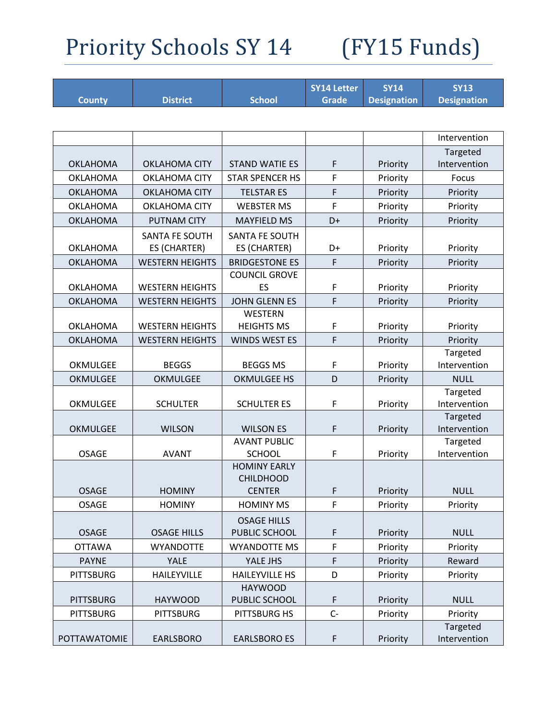|                  |                        |                        | <b>SY14 Letter</b> | <b>SY14</b>        | <b>SY13</b>              |
|------------------|------------------------|------------------------|--------------------|--------------------|--------------------------|
| <b>County</b>    | <b>District</b>        | <b>School</b>          | <b>Grade</b>       | <b>Designation</b> | <b>Designation</b>       |
|                  |                        |                        |                    |                    |                          |
|                  |                        |                        |                    |                    | Intervention             |
|                  |                        |                        |                    |                    | Targeted                 |
| <b>OKLAHOMA</b>  | <b>OKLAHOMA CITY</b>   | <b>STAND WATIE ES</b>  | F                  | Priority           | Intervention             |
| <b>OKLAHOMA</b>  | <b>OKLAHOMA CITY</b>   | <b>STAR SPENCER HS</b> | F                  | Priority           | Focus                    |
| <b>OKLAHOMA</b>  | <b>OKLAHOMA CITY</b>   | <b>TELSTAR ES</b>      | F                  | Priority           | Priority                 |
| <b>OKLAHOMA</b>  | <b>OKLAHOMA CITY</b>   | <b>WEBSTER MS</b>      | F                  | Priority           | Priority                 |
| <b>OKLAHOMA</b>  | <b>PUTNAM CITY</b>     | <b>MAYFIELD MS</b>     | D+                 | Priority           | Priority                 |
|                  | SANTA FE SOUTH         | SANTA FE SOUTH         |                    |                    |                          |
| OKLAHOMA         | ES (CHARTER)           | ES (CHARTER)           | D+                 | Priority           | Priority                 |
| <b>OKLAHOMA</b>  | <b>WESTERN HEIGHTS</b> | <b>BRIDGESTONE ES</b>  | $\mathsf F$        | Priority           | Priority                 |
|                  |                        | <b>COUNCIL GROVE</b>   |                    |                    |                          |
| <b>OKLAHOMA</b>  | <b>WESTERN HEIGHTS</b> | ES                     | F                  | Priority           | Priority                 |
| <b>OKLAHOMA</b>  | <b>WESTERN HEIGHTS</b> | <b>JOHN GLENN ES</b>   | F                  | Priority           | Priority                 |
|                  |                        | <b>WESTERN</b>         |                    |                    |                          |
| <b>OKLAHOMA</b>  | <b>WESTERN HEIGHTS</b> | <b>HEIGHTS MS</b>      | F                  | Priority           | Priority                 |
| <b>OKLAHOMA</b>  | <b>WESTERN HEIGHTS</b> | <b>WINDS WEST ES</b>   | F                  | Priority           | Priority                 |
|                  |                        |                        |                    |                    | Targeted                 |
| OKMULGEE         | <b>BEGGS</b>           | <b>BEGGS MS</b>        | F                  | Priority           | Intervention             |
| OKMULGEE         | <b>OKMULGEE</b>        | <b>OKMULGEE HS</b>     | D                  | Priority           | <b>NULL</b>              |
|                  |                        |                        |                    |                    | Targeted                 |
| OKMULGEE         | <b>SCHULTER</b>        | <b>SCHULTER ES</b>     | F                  | Priority           | Intervention<br>Targeted |
| <b>OKMULGEE</b>  | <b>WILSON</b>          | <b>WILSON ES</b>       | F                  | Priority           | Intervention             |
|                  |                        | <b>AVANT PUBLIC</b>    |                    |                    | Targeted                 |
| <b>OSAGE</b>     | <b>AVANT</b>           | <b>SCHOOL</b>          | F                  | Priority           | Intervention             |
|                  |                        | <b>HOMINY EARLY</b>    |                    |                    |                          |
|                  |                        | <b>CHILDHOOD</b>       |                    |                    |                          |
| <b>OSAGE</b>     | <b>HOMINY</b>          | <b>CENTER</b>          | F                  | Priority           | <b>NULL</b>              |
| <b>OSAGE</b>     | <b>HOMINY</b>          | <b>HOMINY MS</b>       | F                  | Priority           | Priority                 |
|                  |                        | <b>OSAGE HILLS</b>     |                    |                    |                          |
| <b>OSAGE</b>     | <b>OSAGE HILLS</b>     | PUBLIC SCHOOL          | F                  | Priority           | <b>NULL</b>              |
| <b>OTTAWA</b>    | <b>WYANDOTTE</b>       | <b>WYANDOTTE MS</b>    | F                  | Priority           | Priority                 |
| <b>PAYNE</b>     | YALE                   | YALE JHS               | F                  | Priority           | Reward                   |
| <b>PITTSBURG</b> | <b>HAILEYVILLE</b>     | <b>HAILEYVILLE HS</b>  | D                  | Priority           | Priority                 |
|                  |                        | <b>HAYWOOD</b>         |                    |                    |                          |
| <b>PITTSBURG</b> | <b>HAYWOOD</b>         | PUBLIC SCHOOL          | F                  | Priority           | <b>NULL</b>              |
| <b>PITTSBURG</b> | <b>PITTSBURG</b>       | PITTSBURG HS           | $C -$              | Priority           | Priority                 |
| POTTAWATOMIE     | EARLSBORO              | <b>EARLSBORO ES</b>    | F                  | Priority           | Targeted<br>Intervention |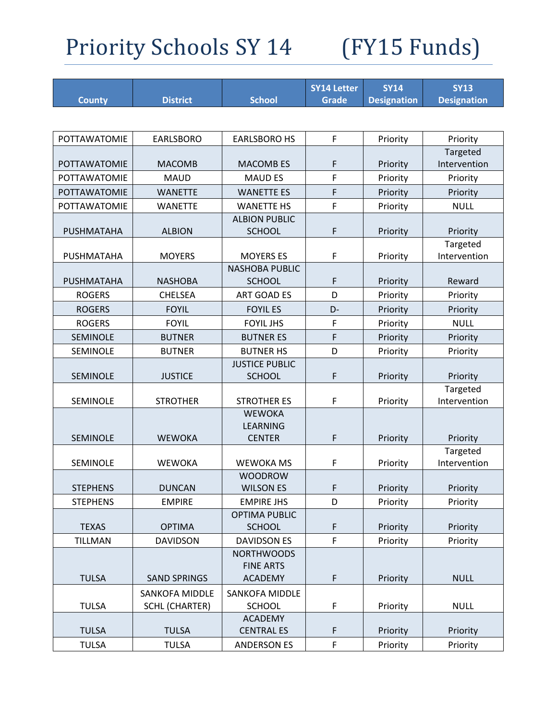|                     |                       |                                           | <b>SY14 Letter</b> | <b>SY14</b>        | <b>SY13</b>             |
|---------------------|-----------------------|-------------------------------------------|--------------------|--------------------|-------------------------|
| <b>County</b>       | <b>District</b>       | <b>School</b>                             | <b>Grade</b>       | <b>Designation</b> | <b>Designation</b>      |
|                     |                       |                                           |                    |                    |                         |
| POTTAWATOMIE        | <b>EARLSBORO</b>      | <b>EARLSBORO HS</b>                       | F                  | Priority           | Priority                |
|                     |                       |                                           |                    |                    | Targeted                |
| <b>POTTAWATOMIE</b> | <b>MACOMB</b>         | <b>MACOMB ES</b>                          | F                  | Priority           | Intervention            |
| POTTAWATOMIE        | <b>MAUD</b>           | <b>MAUD ES</b>                            | F                  | Priority           | Priority                |
| POTTAWATOMIE        | <b>WANETTE</b>        | <b>WANETTE ES</b>                         | F                  | Priority           | Priority                |
| POTTAWATOMIE        | <b>WANETTE</b>        | <b>WANETTE HS</b>                         | F                  | Priority           | <b>NULL</b>             |
|                     |                       | <b>ALBION PUBLIC</b>                      |                    |                    |                         |
| PUSHMATAHA          | <b>ALBION</b>         | <b>SCHOOL</b>                             | F                  | Priority           | Priority                |
|                     |                       |                                           |                    |                    | Targeted                |
| PUSHMATAHA          | <b>MOYERS</b>         | <b>MOYERS ES</b><br><b>NASHOBA PUBLIC</b> | F                  | Priority           | Intervention            |
| PUSHMATAHA          | <b>NASHOBA</b>        | <b>SCHOOL</b>                             | F                  | Priority           | Reward                  |
| <b>ROGERS</b>       | <b>CHELSEA</b>        | <b>ART GOAD ES</b>                        | D                  | Priority           | Priority                |
| <b>ROGERS</b>       | <b>FOYIL</b>          | <b>FOYIL ES</b>                           | D-                 |                    |                         |
| <b>ROGERS</b>       | <b>FOYIL</b>          | <b>FOYIL JHS</b>                          | F                  | Priority           | Priority<br><b>NULL</b> |
|                     |                       |                                           |                    | Priority           |                         |
| <b>SEMINOLE</b>     | <b>BUTNER</b>         | <b>BUTNER ES</b>                          | F                  | Priority           | Priority                |
| SEMINOLE            | <b>BUTNER</b>         | <b>BUTNER HS</b><br><b>JUSTICE PUBLIC</b> | D                  | Priority           | Priority                |
| SEMINOLE            | <b>JUSTICE</b>        | <b>SCHOOL</b>                             | F                  | Priority           | Priority                |
|                     |                       |                                           |                    |                    | Targeted                |
| SEMINOLE            | <b>STROTHER</b>       | <b>STROTHER ES</b>                        | F                  | Priority           | Intervention            |
|                     |                       | <b>WEWOKA</b>                             |                    |                    |                         |
|                     |                       | <b>LEARNING</b>                           |                    |                    |                         |
| SEMINOLE            | <b>WEWOKA</b>         | <b>CENTER</b>                             | $\mathsf F$        | Priority           | Priority                |
|                     |                       |                                           |                    |                    | Targeted                |
| <b>SEMINOLE</b>     | <b>WEWOKA</b>         | <b>WEWOKA MS</b>                          | F                  | Priority           | Intervention            |
|                     |                       | <b>WOODROW</b>                            |                    |                    |                         |
| <b>STEPHENS</b>     | <b>DUNCAN</b>         | <b>WILSON ES</b>                          | F                  | Priority           | Priority                |
| <b>STEPHENS</b>     | <b>EMPIRE</b>         | <b>EMPIRE JHS</b>                         | D                  | Priority           | Priority                |
| <b>TEXAS</b>        | <b>OPTIMA</b>         | <b>OPTIMA PUBLIC</b><br><b>SCHOOL</b>     | F                  | Priority           | Priority                |
| <b>TILLMAN</b>      | <b>DAVIDSON</b>       | <b>DAVIDSON ES</b>                        | $\mathsf F$        | Priority           | Priority                |
|                     |                       | <b>NORTHWOODS</b>                         |                    |                    |                         |
|                     |                       | <b>FINE ARTS</b>                          |                    |                    |                         |
| <b>TULSA</b>        | <b>SAND SPRINGS</b>   | <b>ACADEMY</b>                            | F                  | Priority           | <b>NULL</b>             |
|                     | <b>SANKOFA MIDDLE</b> | <b>SANKOFA MIDDLE</b>                     |                    |                    |                         |
| <b>TULSA</b>        | <b>SCHL (CHARTER)</b> | <b>SCHOOL</b>                             | F                  | Priority           | <b>NULL</b>             |
|                     |                       | ACADEMY                                   |                    |                    |                         |
| <b>TULSA</b>        | <b>TULSA</b>          | <b>CENTRAL ES</b>                         | F                  | Priority           | Priority                |
| <b>TULSA</b>        | <b>TULSA</b>          | <b>ANDERSON ES</b>                        | F                  | Priority           | Priority                |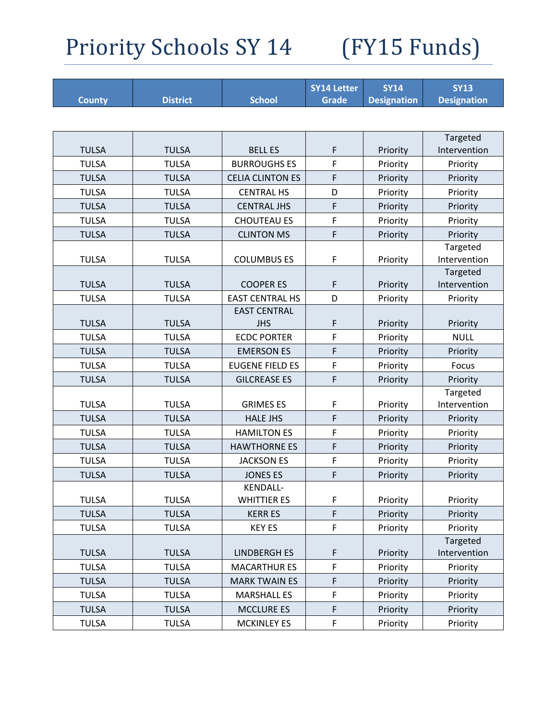|               |                 |                                       | <b>SY14 Letter</b> | <b>SY14</b>        | <b>SY13</b>              |
|---------------|-----------------|---------------------------------------|--------------------|--------------------|--------------------------|
| <b>County</b> | <b>District</b> | <b>School</b>                         | <b>Grade</b>       | <b>Designation</b> | <b>Designation</b>       |
|               |                 |                                       |                    |                    |                          |
|               |                 |                                       |                    |                    | Targeted                 |
| <b>TULSA</b>  | <b>TULSA</b>    | <b>BELL ES</b>                        | F                  | Priority           | Intervention             |
| <b>TULSA</b>  | <b>TULSA</b>    | <b>BURROUGHS ES</b>                   | F                  | Priority           | Priority                 |
| <b>TULSA</b>  | <b>TULSA</b>    | <b>CELIA CLINTON ES</b>               | F                  | Priority           | Priority                 |
| <b>TULSA</b>  | <b>TULSA</b>    | <b>CENTRAL HS</b>                     | D                  | Priority           | Priority                 |
| <b>TULSA</b>  | <b>TULSA</b>    | <b>CENTRAL JHS</b>                    | F                  | Priority           | Priority                 |
| <b>TULSA</b>  | <b>TULSA</b>    | <b>CHOUTEAU ES</b>                    | F                  | Priority           | Priority                 |
| <b>TULSA</b>  | <b>TULSA</b>    | <b>CLINTON MS</b>                     | F                  | Priority           | Priority                 |
| <b>TULSA</b>  | <b>TULSA</b>    | <b>COLUMBUS ES</b>                    | F                  | Priority           | Targeted<br>Intervention |
| <b>TULSA</b>  | <b>TULSA</b>    | <b>COOPER ES</b>                      | F                  | Priority           | Targeted<br>Intervention |
| <b>TULSA</b>  | <b>TULSA</b>    | <b>EAST CENTRAL HS</b>                | D                  | Priority           | Priority                 |
|               |                 | <b>EAST CENTRAL</b>                   |                    |                    |                          |
| <b>TULSA</b>  | <b>TULSA</b>    | <b>JHS</b>                            | F                  | Priority           | Priority                 |
| <b>TULSA</b>  | <b>TULSA</b>    | <b>ECDC PORTER</b>                    | F                  | Priority           | <b>NULL</b>              |
| <b>TULSA</b>  | <b>TULSA</b>    | <b>EMERSON ES</b>                     | F                  | Priority           | Priority                 |
| <b>TULSA</b>  | <b>TULSA</b>    | <b>EUGENE FIELD ES</b>                | F                  | Priority           | Focus                    |
| <b>TULSA</b>  | <b>TULSA</b>    | <b>GILCREASE ES</b>                   | F                  | Priority           | Priority                 |
|               |                 |                                       |                    |                    | Targeted                 |
| <b>TULSA</b>  | <b>TULSA</b>    | <b>GRIMES ES</b>                      | F                  | Priority           | Intervention             |
| <b>TULSA</b>  | <b>TULSA</b>    | <b>HALE JHS</b>                       | F                  | Priority           | Priority                 |
| <b>TULSA</b>  | <b>TULSA</b>    | <b>HAMILTON ES</b>                    | F                  | Priority           | Priority                 |
| <b>TULSA</b>  | <b>TULSA</b>    | <b>HAWTHORNE ES</b>                   | F                  | Priority           | Priority                 |
| <b>TULSA</b>  | <b>TULSA</b>    | <b>JACKSON ES</b>                     | F                  | Priority           | Priority                 |
| <b>TULSA</b>  | <b>TULSA</b>    | <b>JONES ES</b>                       | F                  | Priority           | Priority                 |
| <b>TULSA</b>  | <b>TULSA</b>    | <b>KENDALL-</b><br><b>WHITTIER ES</b> | F                  | Priority           | Priority                 |
| <b>TULSA</b>  | <b>TULSA</b>    | <b>KERR ES</b>                        | F.                 | Priority           | Priority                 |
|               |                 |                                       |                    |                    |                          |
| <b>TULSA</b>  | <b>TULSA</b>    | <b>KEY ES</b>                         | F                  | Priority           | Priority<br>Targeted     |
| <b>TULSA</b>  | <b>TULSA</b>    | <b>LINDBERGH ES</b>                   | F                  | Priority           | Intervention             |
| <b>TULSA</b>  | <b>TULSA</b>    | <b>MACARTHUR ES</b>                   | F                  | Priority           | Priority                 |
| <b>TULSA</b>  | <b>TULSA</b>    | <b>MARK TWAIN ES</b>                  | F                  | Priority           | Priority                 |
| <b>TULSA</b>  | <b>TULSA</b>    | <b>MARSHALL ES</b>                    | F                  | Priority           | Priority                 |
| <b>TULSA</b>  | <b>TULSA</b>    | <b>MCCLURE ES</b>                     | F                  | Priority           | Priority                 |
| <b>TULSA</b>  | <b>TULSA</b>    | <b>MCKINLEY ES</b>                    | F                  | Priority           | Priority                 |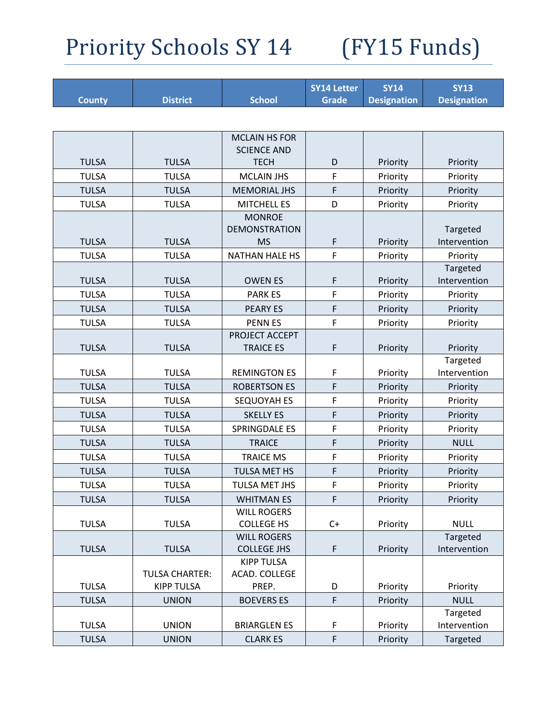|               |                       |                                    | <b>SY14 Letter</b> | <b>SY14</b>        | <b>SY13</b>              |
|---------------|-----------------------|------------------------------------|--------------------|--------------------|--------------------------|
| <b>County</b> | <b>District</b>       | <b>School</b>                      | <b>Grade</b>       | <b>Designation</b> | <b>Designation</b>       |
|               |                       |                                    |                    |                    |                          |
|               |                       | <b>MCLAIN HS FOR</b>               |                    |                    |                          |
|               |                       | <b>SCIENCE AND</b>                 |                    |                    |                          |
| <b>TULSA</b>  | <b>TULSA</b>          | <b>TECH</b>                        | D                  | Priority           | Priority                 |
| <b>TULSA</b>  | <b>TULSA</b>          | <b>MCLAIN JHS</b>                  | F                  | Priority           | Priority                 |
| <b>TULSA</b>  | <b>TULSA</b>          | <b>MEMORIAL JHS</b>                | F                  | Priority           | Priority                 |
| <b>TULSA</b>  | <b>TULSA</b>          | <b>MITCHELL ES</b>                 | D                  | Priority           | Priority                 |
|               |                       | <b>MONROE</b>                      |                    |                    |                          |
|               |                       | <b>DEMONSTRATION</b>               |                    |                    | Targeted                 |
| <b>TULSA</b>  | <b>TULSA</b>          | <b>MS</b>                          | F                  | Priority           | Intervention             |
| <b>TULSA</b>  | <b>TULSA</b>          | <b>NATHAN HALE HS</b>              | F                  | Priority           | Priority                 |
| <b>TULSA</b>  | <b>TULSA</b>          | <b>OWEN ES</b>                     | F                  |                    | Targeted<br>Intervention |
|               |                       |                                    |                    | Priority           |                          |
| <b>TULSA</b>  | <b>TULSA</b>          | <b>PARK ES</b>                     | F                  | Priority           | Priority                 |
| <b>TULSA</b>  | <b>TULSA</b>          | <b>PEARY ES</b>                    | F                  | Priority           | Priority                 |
| <b>TULSA</b>  | <b>TULSA</b>          | <b>PENNES</b>                      | F                  | Priority           | Priority                 |
| <b>TULSA</b>  | <b>TULSA</b>          | PROJECT ACCEPT<br><b>TRAICE ES</b> | F                  |                    |                          |
|               |                       |                                    |                    | Priority           | Priority<br>Targeted     |
| <b>TULSA</b>  | <b>TULSA</b>          | <b>REMINGTON ES</b>                | F                  | Priority           | Intervention             |
| <b>TULSA</b>  | <b>TULSA</b>          | <b>ROBERTSON ES</b>                | F                  | Priority           | Priority                 |
| <b>TULSA</b>  | <b>TULSA</b>          | SEQUOYAH ES                        | F                  | Priority           | Priority                 |
| <b>TULSA</b>  | <b>TULSA</b>          | <b>SKELLY ES</b>                   | F                  | Priority           | Priority                 |
| <b>TULSA</b>  | <b>TULSA</b>          | <b>SPRINGDALE ES</b>               | F                  | Priority           | Priority                 |
| <b>TULSA</b>  | <b>TULSA</b>          | <b>TRAICE</b>                      | F                  | Priority           | <b>NULL</b>              |
| <b>TULSA</b>  | <b>TULSA</b>          | <b>TRAICE MS</b>                   | F                  | Priority           | Priority                 |
| <b>TULSA</b>  | <b>TULSA</b>          | TULSA MET HS                       | F                  | Priority           | Priority                 |
| <b>TULSA</b>  | <b>TULSA</b>          | TULSA MET JHS                      | F                  | Priority           | Priority                 |
| <b>TULSA</b>  | <b>TULSA</b>          | <b>WHITMAN ES</b>                  | F                  |                    |                          |
|               |                       | <b>WILL ROGERS</b>                 |                    | Priority           | Priority                 |
| <b>TULSA</b>  | <b>TULSA</b>          | <b>COLLEGE HS</b>                  | $C+$               | Priority           | <b>NULL</b>              |
|               |                       | <b>WILL ROGERS</b>                 |                    |                    | Targeted                 |
| <b>TULSA</b>  | <b>TULSA</b>          | <b>COLLEGE JHS</b>                 | $\mathsf F$        | Priority           | Intervention             |
|               |                       | <b>KIPP TULSA</b>                  |                    |                    |                          |
|               | <b>TULSA CHARTER:</b> | ACAD. COLLEGE                      |                    |                    |                          |
| <b>TULSA</b>  | <b>KIPP TULSA</b>     | PREP.                              | D                  | Priority           | Priority                 |
| <b>TULSA</b>  | <b>UNION</b>          | <b>BOEVERS ES</b>                  | F                  | Priority           | <b>NULL</b>              |
|               |                       |                                    |                    |                    | Targeted                 |
| <b>TULSA</b>  | <b>UNION</b>          | <b>BRIARGLEN ES</b>                | F                  | Priority           | Intervention             |
| <b>TULSA</b>  | <b>UNION</b>          | <b>CLARK ES</b>                    | F                  | Priority           | Targeted                 |